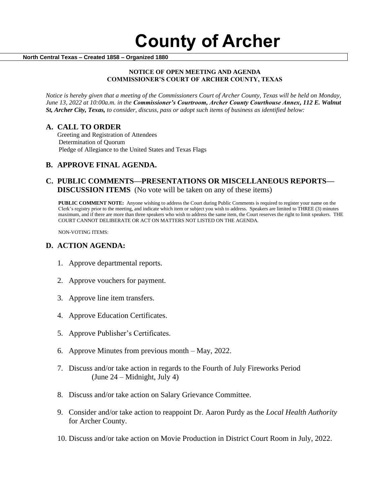#### **North Central Texas – Created 1858 – Organized 1880**

#### **NOTICE OF OPEN MEETING AND AGENDA COMMISSIONER'S COURT OF ARCHER COUNTY, TEXAS**

*Notice is hereby given that a meeting of the Commissioners Court of Archer County, Texas will be held on Monday, June 13, 2022 at 10:00a.m. in the Commissioner's Courtroom, Archer County Courthouse Annex, 112 E. Walnut St, Archer City, Texas, to consider, discuss, pass or adopt such items of business as identified below:*

## **A. CALL TO ORDER**

 Greeting and Registration of Attendees Determination of Quorum Pledge of Allegiance to the United States and Texas Flags

# **B. APPROVE FINAL AGENDA.**

# **C. PUBLIC COMMENTS—PRESENTATIONS OR MISCELLANEOUS REPORTS— DISCUSSION ITEMS** (No vote will be taken on any of these items)

**PUBLIC COMMENT NOTE:** Anyone wishing to address the Court during Public Comments is required to register your name on the Clerk's registry prior to the meeting, and indicate which item or subject you wish to address. Speakers are limited to THREE (3) minutes maximum, and if there are more than three speakers who wish to address the same item, the Court reserves the right to limit speakers. THE COURT CANNOT DELIBERATE OR ACT ON MATTERS NOT LISTED ON THE AGENDA.

NON-VOTING ITEMS:

## **D. ACTION AGENDA:**

- 1. Approve departmental reports.
- 2. Approve vouchers for payment.
- 3. Approve line item transfers.
- 4. Approve Education Certificates.
- 5. Approve Publisher's Certificates.
- 6. Approve Minutes from previous month May, 2022.
- 7. Discuss and/or take action in regards to the Fourth of July Fireworks Period (June 24 – Midnight, July 4)
- 8. Discuss and/or take action on Salary Grievance Committee.
- 9. Consider and/or take action to reappoint Dr. Aaron Purdy as the *Local Health Authority*  for Archer County.
- 10. Discuss and/or take action on Movie Production in District Court Room in July, 2022.